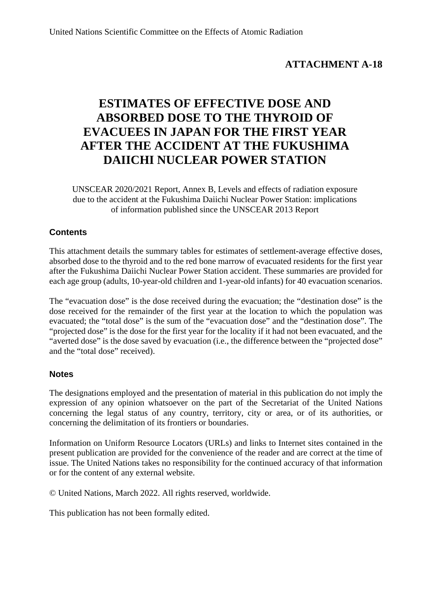# **ATTACHMENT A-18**

# **ESTIMATES OF EFFECTIVE DOSE AND ABSORBED DOSE TO THE THYROID OF EVACUEES IN JAPAN FOR THE FIRST YEAR AFTER THE ACCIDENT AT THE FUKUSHIMA DAIICHI NUCLEAR POWER STATION**

UNSCEAR 2020/2021 Report, Annex B, Levels and effects of radiation exposure due to the accident at the Fukushima Daiichi Nuclear Power Station: implications of information published since the UNSCEAR 2013 Report

## **Contents**

This attachment details the summary tables for estimates of settlement-average effective doses, absorbed dose to the thyroid and to the red bone marrow of evacuated residents for the first year after the Fukushima Daiichi Nuclear Power Station accident. These summaries are provided for each age group (adults, 10-year-old children and 1-year-old infants) for 40 evacuation scenarios.

The "evacuation dose" is the dose received during the evacuation; the "destination dose" is the dose received for the remainder of the first year at the location to which the population was evacuated; the "total dose" is the sum of the "evacuation dose" and the "destination dose". The "projected dose" is the dose for the first year for the locality if it had not been evacuated, and the "averted dose" is the dose saved by evacuation (i.e., the difference between the "projected dose" and the "total dose" received).

## **Notes**

The designations employed and the presentation of material in this publication do not imply the expression of any opinion whatsoever on the part of the Secretariat of the United Nations concerning the legal status of any country, territory, city or area, or of its authorities, or concerning the delimitation of its frontiers or boundaries.

Information on Uniform Resource Locators (URLs) and links to Internet sites contained in the present publication are provided for the convenience of the reader and are correct at the time of issue. The United Nations takes no responsibility for the continued accuracy of that information or for the content of any external website.

© United Nations, March 2022. All rights reserved, worldwide.

This publication has not been formally edited.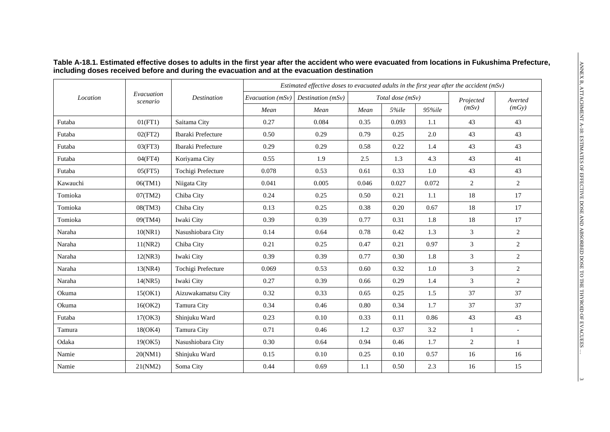|          |                        |                    |                  | Estimated effective doses to evacuated adults in the first year after the accident (mSv) |       |                  |        |                |                |  |  |
|----------|------------------------|--------------------|------------------|------------------------------------------------------------------------------------------|-------|------------------|--------|----------------|----------------|--|--|
| Location | Evacuation<br>scenario | <b>Destination</b> | Evacuation (mSv) | Destination $(mSv)$                                                                      |       | Total dose (mSv) |        | Projected      | Averted        |  |  |
|          |                        |                    | Mean             | Mean                                                                                     | Mean  | 5%ile            | 95%ile | (mSv)          | (mGy)          |  |  |
| Futaba   | 01(FT1)                | Saitama City       | 0.27             | 0.084                                                                                    | 0.35  | 0.093            | 1.1    | 43             | 43             |  |  |
| Futaba   | 02(FT2)                | Ibaraki Prefecture | 0.50             | 0.29                                                                                     | 0.79  | 0.25             | 2.0    | 43             | 43             |  |  |
| Futaba   | 03(FT3)                | Ibaraki Prefecture | 0.29             | 0.29                                                                                     | 0.58  | 0.22             | 1.4    | 43             | 43             |  |  |
| Futaba   | 04(FT4)                | Koriyama City      | 0.55             | 1.9                                                                                      | 2.5   | 1.3              | 4.3    | 43             | 41             |  |  |
| Futaba   | 05(FT5)                | Tochigi Prefecture | 0.078            | 0.53                                                                                     | 0.61  | 0.33             | 1.0    | 43             | 43             |  |  |
| Kawauchi | 06(TM1)                | Niigata City       | 0.041            | 0.005                                                                                    | 0.046 | 0.027            | 0.072  | $\overline{2}$ | $\overline{2}$ |  |  |
| Tomioka  | 07(TM2)                | Chiba City         | 0.24             | 0.25                                                                                     | 0.50  | 0.21             | 1.1    | 18             | 17             |  |  |
| Tomioka  | 08(TM3)                | Chiba City         | 0.13             | 0.25                                                                                     | 0.38  | 0.20             | 0.67   | 18             | 17             |  |  |
| Tomioka  | 09(TM4)                | Iwaki City         | 0.39             | 0.39                                                                                     | 0.77  | 0.31             | 1.8    | 18             | 17             |  |  |
| Naraha   | 10(NR1)                | Nasushiobara City  | 0.14             | 0.64                                                                                     | 0.78  | 0.42             | 1.3    | $\mathfrak{Z}$ | 2              |  |  |
| Naraha   | 11(NR2)                | Chiba City         | 0.21             | 0.25                                                                                     | 0.47  | 0.21             | 0.97   | $\mathfrak{Z}$ | $\overline{2}$ |  |  |
| Naraha   | 12(NR3)                | Iwaki City         | 0.39             | 0.39                                                                                     | 0.77  | 0.30             | 1.8    | $\mathfrak{Z}$ | $\overline{c}$ |  |  |
| Naraha   | 13(NR4)                | Tochigi Prefecture | 0.069            | 0.53                                                                                     | 0.60  | 0.32             | 1.0    | 3              | $\overline{2}$ |  |  |
| Naraha   | 14(NR5)                | Iwaki City         | 0.27             | 0.39                                                                                     | 0.66  | 0.29             | 1.4    | 3              | 2              |  |  |
| Okuma    | 15(OK1)                | Aizuwakamatsu City | 0.32             | 0.33                                                                                     | 0.65  | 0.25             | 1.5    | 37             | 37             |  |  |
| Okuma    | 16(OK2)                | Tamura City        | 0.34             | 0.46                                                                                     | 0.80  | 0.34             | 1.7    | 37             | 37             |  |  |
| Futaba   | 17(OK3)                | Shinjuku Ward      | 0.23             | 0.10                                                                                     | 0.33  | 0.11             | 0.86   | 43             | 43             |  |  |
| Tamura   | 18(OK4)                | Tamura City        | 0.71             | 0.46                                                                                     | 1.2   | 0.37             | 3.2    | $\mathbf{1}$   | $\overline{a}$ |  |  |
| Odaka    | 19(OK5)                | Nasushiobara City  | 0.30             | 0.64                                                                                     | 0.94  | 0.46             | 1.7    | $\overline{2}$ | $\mathbf{1}$   |  |  |
| Namie    | 20(NM1)                | Shinjuku Ward      | 0.15             | 0.10                                                                                     | 0.25  | 0.10             | 0.57   | 16             | 16             |  |  |
| Namie    | 21(NM2)                | Soma City          | 0.44             | 0.69                                                                                     | 1.1   | 0.50             | 2.3    | 16             | 15             |  |  |

#### **Table A-18.1. Estimated effective doses to adults in the first year after the accident who were evacuated from locations in Fukushima Prefecture, including doses received before and during the evacuation and at the evacuation destination**

 $\alpha$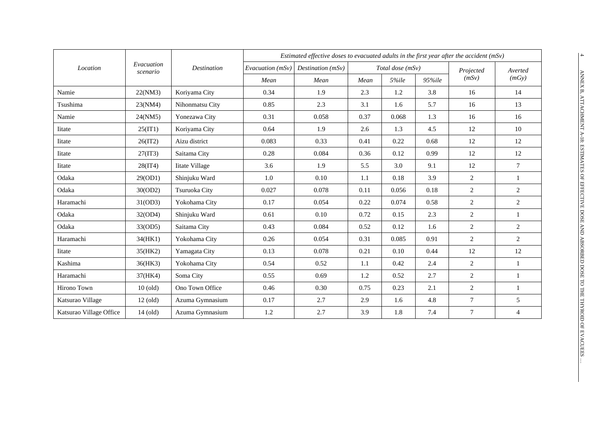|                         |                        |                    | Estimated effective doses to evacuated adults in the first year after the accident (mSv) |                     |      |                    |        |                |                |  |
|-------------------------|------------------------|--------------------|------------------------------------------------------------------------------------------|---------------------|------|--------------------|--------|----------------|----------------|--|
| Location                | Evacuation<br>scenario | <b>Destination</b> | Evacuation $(mSv)$                                                                       | Destination $(mSv)$ |      | Total dose $(mSv)$ |        | Projected      | Averted        |  |
|                         |                        |                    | Mean                                                                                     | Mean                | Mean | 5%ile              | 95%ile | (mSv)          | (mGy)          |  |
| Namie                   | 22(NM3)                | Koriyama City      | 0.34                                                                                     | 1.9                 | 2.3  | 1.2                | 3.8    | 16             | 14             |  |
| Tsushima                | 23(NM4)                | Nihonmatsu City    | 0.85                                                                                     | 2.3                 | 3.1  | 1.6                | 5.7    | 16             | 13             |  |
| Namie                   | 24(NM5)                | Yonezawa City      | 0.31                                                                                     | 0.058               | 0.37 | 0.068              | 1.3    | 16             | 16             |  |
| <b>Iitate</b>           | 25(IT1)                | Koriyama City      | 0.64                                                                                     | 1.9                 | 2.6  | 1.3                | 4.5    | 12             | 10             |  |
| <b>I</b> itate          | 26(1T2)                | Aizu district      | 0.083                                                                                    | 0.33                | 0.41 | 0.22               | 0.68   | 12             | 12             |  |
| <b>Iitate</b>           | 27(1T3)                | Saitama City       | 0.28                                                                                     | 0.084               | 0.36 | 0.12               | 0.99   | 12             | 12             |  |
| <b>Iitate</b>           | 28(1T4)                | Iitate Village     | 3.6                                                                                      | 1.9                 | 5.5  | 3.0                | 9.1    | 12             | $\tau$         |  |
| Odaka                   | 29(OD1)                | Shinjuku Ward      | 1.0                                                                                      | 0.10                | 1.1  | 0.18               | 3.9    | 2              | $\mathbf{1}$   |  |
| Odaka                   | 30(OD2)                | Tsuruoka City      | 0.027                                                                                    | 0.078               | 0.11 | 0.056              | 0.18   | $\overline{2}$ | 2              |  |
| Haramachi               | 31(OD3)                | Yokohama City      | 0.17                                                                                     | 0.054               | 0.22 | 0.074              | 0.58   | 2              | $\overline{c}$ |  |
| Odaka                   | 32(OD4)                | Shinjuku Ward      | 0.61                                                                                     | 0.10                | 0.72 | 0.15               | 2.3    | 2              | $\mathbf{1}$   |  |
| Odaka                   | 33(OD5)                | Saitama City       | 0.43                                                                                     | 0.084               | 0.52 | 0.12               | 1.6    | 2              | $\overline{2}$ |  |
| Haramachi               | 34(HK1)                | Yokohama City      | 0.26                                                                                     | 0.054               | 0.31 | 0.085              | 0.91   | 2              | 2              |  |
| <b>Iitate</b>           | 35(HK2)                | Yamagata City      | 0.13                                                                                     | 0.078               | 0.21 | 0.10               | 0.44   | 12             | 12             |  |
| Kashima                 | 36(HK3)                | Yokohama City      | 0.54                                                                                     | 0.52                | 1.1  | 0.42               | 2.4    | $\overline{2}$ | 1              |  |
| Haramachi               | 37(HK4)                | Soma City          | 0.55                                                                                     | 0.69                | 1.2  | 0.52               | 2.7    | 2              | 1              |  |
| Hirono Town             | $10$ (old)             | Ono Town Office    | 0.46                                                                                     | 0.30                | 0.75 | 0.23               | 2.1    | $\overline{2}$ | 1              |  |
| Katsurao Village        | $12$ (old)             | Azuma Gymnasium    | 0.17                                                                                     | 2.7                 | 2.9  | 1.6                | 4.8    | $\tau$         | 5              |  |
| Katsurao Village Office | $14$ (old)             | Azuma Gymnasium    | 1.2                                                                                      | 2.7                 | 3.9  | 1.8                | 7.4    | $\tau$         | 4              |  |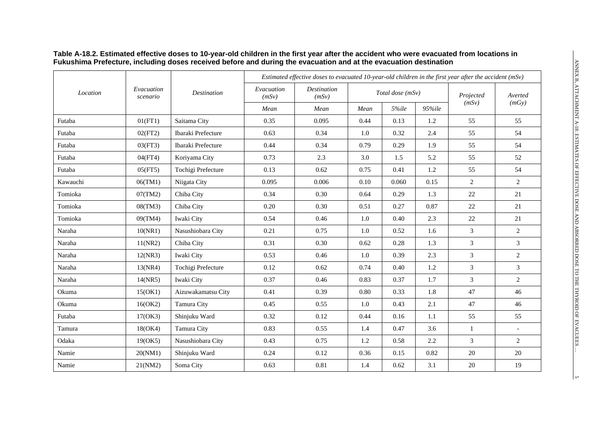|          |                        |                    | Estimated effective doses to evacuated 10-year-old children in the first year after the accident $(mSv)$ |                             |      |                  |         |                |                          |  |  |
|----------|------------------------|--------------------|----------------------------------------------------------------------------------------------------------|-----------------------------|------|------------------|---------|----------------|--------------------------|--|--|
| Location | Evacuation<br>scenario | <b>Destination</b> | Evacuation<br>(mSv)                                                                                      | <b>Destination</b><br>(mSv) |      | Total dose (mSv) |         | Projected      | Averted<br>(mGy)         |  |  |
|          |                        |                    | Mean                                                                                                     | Mean                        | Mean | 5%ile            | 95%ile  | (mSv)          |                          |  |  |
| Futaba   | 01(FT1)                | Saitama City       | 0.35                                                                                                     | 0.095                       | 0.44 | 0.13             | 1.2     | 55             | 55                       |  |  |
| Futaba   | 02(FT2)                | Ibaraki Prefecture | 0.63                                                                                                     | 0.34                        | 1.0  | 0.32             | 2.4     | 55             | 54                       |  |  |
| Futaba   | 03(FT3)                | Ibaraki Prefecture | 0.44                                                                                                     | 0.34                        | 0.79 | 0.29             | 1.9     | 55             | 54                       |  |  |
| Futaba   | 04(FT4)                | Koriyama City      | 0.73                                                                                                     | 2.3                         | 3.0  | 1.5              | 5.2     | 55             | 52                       |  |  |
| Futaba   | 05(FT5)                | Tochigi Prefecture | 0.13                                                                                                     | 0.62                        | 0.75 | 0.41             | 1.2     | 55             | 54                       |  |  |
| Kawauchi | 06(TM1)                | Niigata City       | 0.095                                                                                                    | 0.006                       | 0.10 | 0.060            | 0.15    | 2              | $\overline{2}$           |  |  |
| Tomioka  | 07(TM2)                | Chiba City         | 0.34                                                                                                     | 0.30                        | 0.64 | 0.29             | 1.3     | 22             | 21                       |  |  |
| Tomioka  | 08(TM3)                | Chiba City         | $0.20\,$                                                                                                 | 0.30                        | 0.51 | 0.27             | 0.87    | 22             | 21                       |  |  |
| Tomioka  | 09(TM4)                | Iwaki City         | 0.54                                                                                                     | 0.46                        | 1.0  | 0.40             | 2.3     | $22\,$         | 21                       |  |  |
| Naraha   | 10(NR1)                | Nasushiobara City  | 0.21                                                                                                     | 0.75                        | 1.0  | 0.52             | 1.6     | 3              | $\overline{2}$           |  |  |
| Naraha   | 11(NR2)                | Chiba City         | 0.31                                                                                                     | 0.30                        | 0.62 | 0.28             | 1.3     | 3              | 3                        |  |  |
| Naraha   | 12(NR3)                | Iwaki City         | 0.53                                                                                                     | 0.46                        | 1.0  | 0.39             | 2.3     | 3              | $\sqrt{2}$               |  |  |
| Naraha   | 13(NR4)                | Tochigi Prefecture | 0.12                                                                                                     | 0.62                        | 0.74 | 0.40             | $1.2\,$ | $\mathfrak{Z}$ | 3                        |  |  |
| Naraha   | 14(NR5)                | Iwaki City         | 0.37                                                                                                     | 0.46                        | 0.83 | 0.37             | 1.7     | 3              | $\overline{2}$           |  |  |
| Okuma    | 15(OK1)                | Aizuwakamatsu City | 0.41                                                                                                     | 0.39                        | 0.80 | 0.33             | 1.8     | 47             | 46                       |  |  |
| Okuma    | 16(OK2)                | Tamura City        | 0.45                                                                                                     | 0.55                        | 1.0  | 0.43             | 2.1     | 47             | 46                       |  |  |
| Futaba   | 17(OK3)                | Shinjuku Ward      | 0.32                                                                                                     | 0.12                        | 0.44 | 0.16             | 1.1     | 55             | 55                       |  |  |
| Tamura   | 18(OK4)                | Tamura City        | 0.83                                                                                                     | 0.55                        | 1.4  | 0.47             | 3.6     | 1              | $\overline{\phantom{a}}$ |  |  |
| Odaka    | 19(OK5)                | Nasushiobara City  | 0.43                                                                                                     | 0.75                        | 1.2  | 0.58             | 2.2     | $\mathfrak{Z}$ | $\overline{2}$           |  |  |
| Namie    | 20(NM1)                | Shinjuku Ward      | 0.24                                                                                                     | 0.12                        | 0.36 | 0.15             | 0.82    | $20\,$         | $20\,$                   |  |  |
| Namie    | 21(NM2)                | Soma City          | 0.63                                                                                                     | $0.81\,$                    | 1.4  | 0.62             | 3.1     | $20\,$         | 19                       |  |  |

#### **Table A-18.2. Estimated effective doses to 10-year-old children in the first year after the accident who were evacuated from locations in Fukushima Prefecture, including doses received before and during the evacuation and at the evacuation destination**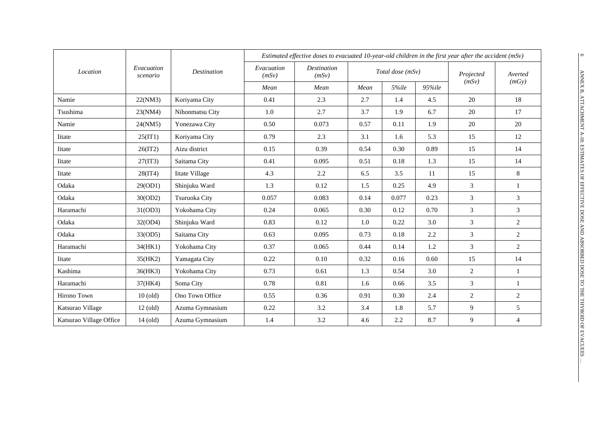|                         |                        |                       | Estimated effective doses to evacuated 10-year-old children in the first year after the accident $(mSv)$ |                             |      |                  |        |                |                  |  |
|-------------------------|------------------------|-----------------------|----------------------------------------------------------------------------------------------------------|-----------------------------|------|------------------|--------|----------------|------------------|--|
| Location                | Evacuation<br>scenario | <b>Destination</b>    | Evacuation<br>(mSv)                                                                                      | <b>Destination</b><br>(mSv) |      | Total dose (mSv) |        | Projected      | Averted<br>(mGy) |  |
|                         |                        |                       | Mean                                                                                                     | Mean                        | Mean | 5%ile            | 95%ile | (mSv)          |                  |  |
| Namie                   | 22(NM3)                | Koriyama City         | 0.41                                                                                                     | 2.3                         | 2.7  | 1.4              | 4.5    | 20             | 18               |  |
| Tsushima                | 23(NM4)                | Nihonmatsu City       | 1.0                                                                                                      | 2.7                         | 3.7  | 1.9              | 6.7    | 20             | 17               |  |
| Namie                   | 24(NM5)                | Yonezawa City         | 0.50                                                                                                     | 0.073                       | 0.57 | 0.11             | 1.9    | 20             | 20               |  |
| Iitate                  | 25(IT1)                | Koriyama City         | 0.79                                                                                                     | 2.3                         | 3.1  | 1.6              | 5.3    | 15             | 12               |  |
| Iitate                  | 26(1T2)                | Aizu district         | 0.15                                                                                                     | 0.39                        | 0.54 | 0.30             | 0.89   | 15             | 14               |  |
| Iitate                  | 27(1T3)                | Saitama City          | 0.41                                                                                                     | 0.095                       | 0.51 | 0.18             | 1.3    | 15             | 14               |  |
| Iitate                  | 28(1T4)                | <b>Iitate Village</b> | 4.3                                                                                                      | 2.2                         | 6.5  | 3.5              | 11     | 15             | 8                |  |
| Odaka                   | 29(OD1)                | Shinjuku Ward         | 1.3                                                                                                      | 0.12                        | 1.5  | 0.25             | 4.9    | 3              | $\mathbf{1}$     |  |
| Odaka                   | 30(OD2)                | Tsuruoka City         | 0.057                                                                                                    | 0.083                       | 0.14 | 0.077            | 0.23   | 3              | 3                |  |
| Haramachi               | 31(OD3)                | Yokohama City         | 0.24                                                                                                     | 0.065                       | 0.30 | 0.12             | 0.70   | 3              | 3                |  |
| Odaka                   | 32(OD4)                | Shinjuku Ward         | 0.83                                                                                                     | 0.12                        | 1.0  | 0.22             | 3.0    | $\overline{3}$ | $\overline{2}$   |  |
| Odaka                   | 33(OD5)                | Saitama City          | 0.63                                                                                                     | 0.095                       | 0.73 | 0.18             | 2.2    | 3              | $\overline{c}$   |  |
| Haramachi               | 34(HK1)                | Yokohama City         | 0.37                                                                                                     | 0.065                       | 0.44 | 0.14             | 1.2    | 3              | 2                |  |
| Iitate                  | 35(HK2)                | Yamagata City         | 0.22                                                                                                     | 0.10                        | 0.32 | 0.16             | 0.60   | 15             | 14               |  |
| Kashima                 | 36(HK3)                | Yokohama City         | 0.73                                                                                                     | 0.61                        | 1.3  | 0.54             | 3.0    | 2              | $\mathbf{1}$     |  |
| Haramachi               | 37(HK4)                | Soma City             | 0.78                                                                                                     | 0.81                        | 1.6  | 0.66             | 3.5    | 3              | 1                |  |
| Hirono Town             | $10$ (old)             | Ono Town Office       | 0.55                                                                                                     | 0.36                        | 0.91 | 0.30             | 2.4    | $\overline{2}$ | $\overline{2}$   |  |
| Katsurao Village        | $12$ (old)             | Azuma Gymnasium       | 0.22                                                                                                     | 3.2                         | 3.4  | 1.8              | 5.7    | 9              | 5                |  |
| Katsurao Village Office | $14$ (old)             | Azuma Gymnasium       | 1.4                                                                                                      | 3.2                         | 4.6  | 2.2              | 8.7    | 9              | 4                |  |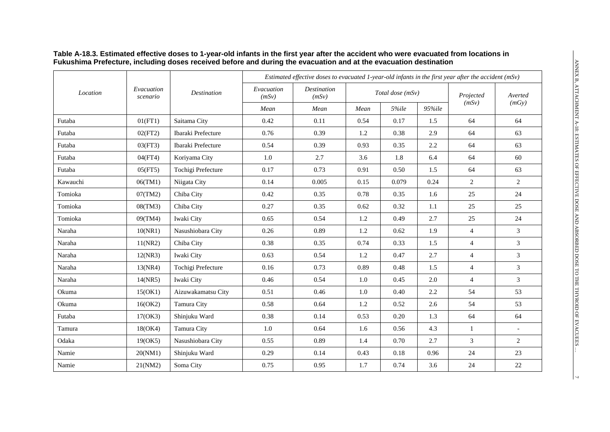|          |                        |                    | Estimated effective doses to evacuated 1-year-old infants in the first year after the accident $(mSv)$ |                             |      |                  |        |                |                          |
|----------|------------------------|--------------------|--------------------------------------------------------------------------------------------------------|-----------------------------|------|------------------|--------|----------------|--------------------------|
| Location | Evacuation<br>scenario | <b>Destination</b> | Evacuation<br>(mSv)                                                                                    | <b>Destination</b><br>(mSv) |      | Total dose (mSv) |        | Projected      | Averted                  |
|          |                        |                    | Mean                                                                                                   | Mean                        | Mean | 5%ile            | 95%ile | (mSv)          | (mGy)                    |
| Futaba   | 01(FT1)                | Saitama City       | 0.42                                                                                                   | 0.11                        | 0.54 | 0.17             | 1.5    | 64             | 64                       |
| Futaba   | 02(FT2)                | Ibaraki Prefecture | 0.76                                                                                                   | 0.39                        | 1.2  | 0.38             | 2.9    | 64             | 63                       |
| Futaba   | 03(FT3)                | Ibaraki Prefecture | 0.54                                                                                                   | 0.39                        | 0.93 | 0.35             | 2.2    | 64             | 63                       |
| Futaba   | 04(FT4)                | Koriyama City      | 1.0                                                                                                    | 2.7                         | 3.6  | 1.8              | 6.4    | 64             | 60                       |
| Futaba   | 05(FT5)                | Tochigi Prefecture | 0.17                                                                                                   | 0.73                        | 0.91 | 0.50             | 1.5    | 64             | 63                       |
| Kawauchi | 06(TM1)                | Niigata City       | 0.14                                                                                                   | 0.005                       | 0.15 | 0.079            | 0.24   | 2              | $\overline{2}$           |
| Tomioka  | 07(TM2)                | Chiba City         | 0.42                                                                                                   | 0.35                        | 0.78 | 0.35             | 1.6    | 25             | 24                       |
| Tomioka  | 08(TM3)                | Chiba City         | 0.27                                                                                                   | 0.35                        | 0.62 | 0.32             | 1.1    | 25             | 25                       |
| Tomioka  | 09(TM4)                | Iwaki City         | 0.65                                                                                                   | 0.54                        | 1.2  | 0.49             | 2.7    | 25             | 24                       |
| Naraha   | 10(NR1)                | Nasushiobara City  | 0.26                                                                                                   | 0.89                        | 1.2  | 0.62             | 1.9    | $\overline{4}$ | 3                        |
| Naraha   | 11(NR2)                | Chiba City         | 0.38                                                                                                   | 0.35                        | 0.74 | 0.33             | 1.5    | $\overline{4}$ | $\overline{3}$           |
| Naraha   | 12(NR3)                | Iwaki City         | 0.63                                                                                                   | 0.54                        | 1.2  | 0.47             | 2.7    | $\overline{4}$ | $\overline{3}$           |
| Naraha   | 13(NR4)                | Tochigi Prefecture | 0.16                                                                                                   | 0.73                        | 0.89 | 0.48             | 1.5    | $\overline{4}$ | $\overline{3}$           |
| Naraha   | 14(NR5)                | Iwaki City         | 0.46                                                                                                   | 0.54                        | 1.0  | 0.45             | 2.0    | $\overline{4}$ | $\overline{3}$           |
| Okuma    | 15(OK1)                | Aizuwakamatsu City | 0.51                                                                                                   | 0.46                        | 1.0  | 0.40             | 2.2    | 54             | 53                       |
| Okuma    | 16(OK2)                | Tamura City        | 0.58                                                                                                   | 0.64                        | 1.2  | 0.52             | 2.6    | 54             | 53                       |
| Futaba   | 17(OK3)                | Shinjuku Ward      | 0.38                                                                                                   | 0.14                        | 0.53 | 0.20             | 1.3    | 64             | 64                       |
| Tamura   | 18(OK4)                | Tamura City        | 1.0                                                                                                    | 0.64                        | 1.6  | 0.56             | 4.3    | $\mathbf{1}$   | $\overline{\phantom{a}}$ |
| Odaka    | 19(OK5)                | Nasushiobara City  | 0.55                                                                                                   | 0.89                        | 1.4  | 0.70             | 2.7    | 3              | $\overline{2}$           |
| Namie    | 20(NM1)                | Shinjuku Ward      | 0.29                                                                                                   | 0.14                        | 0.43 | 0.18             | 0.96   | 24             | 23                       |
| Namie    | 21(NM2)                | Soma City          | 0.75                                                                                                   | 0.95                        | 1.7  | 0.74             | 3.6    | 24             | $22\,$                   |

#### **Table A-18.3. Estimated effective doses to 1-year-old infants in the first year after the accident who were evacuated from locations in Fukushima Prefecture, including doses received before and during the evacuation and at the evacuation destination**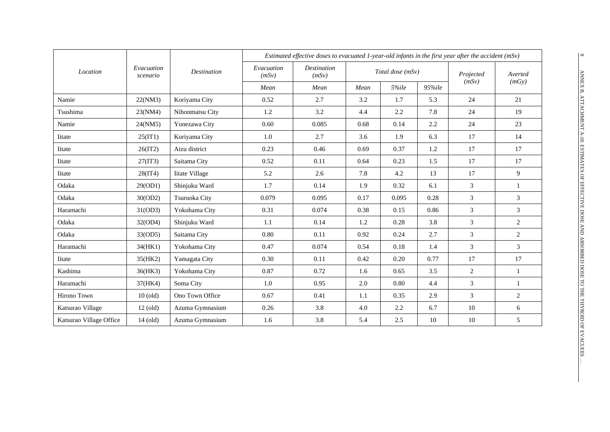|                         |                          |                       | Estimated effective doses to evacuated 1-year-old infants in the first year after the accident $(mSv)$ |                             |      |                  |        |           |                |
|-------------------------|--------------------------|-----------------------|--------------------------------------------------------------------------------------------------------|-----------------------------|------|------------------|--------|-----------|----------------|
| Location                | Evacuation<br>$scenario$ | Destination           | Evacuation<br>(mSv)                                                                                    | <b>Destination</b><br>(mSv) |      | Total dose (mSv) |        | Projected | Averted        |
|                         |                          |                       | Mean                                                                                                   | Mean                        | Mean | 5%ile            | 95%ile | (mSv)     | (mGy)          |
| Namie                   | 22(NM3)                  | Koriyama City         | 0.52                                                                                                   | 2.7                         | 3.2  | 1.7              | 5.3    | 24        | 21             |
| Tsushima                | 23(NM4)                  | Nihonmatsu City       | 1.2                                                                                                    | 3.2                         | 4.4  | 2.2              | 7.8    | 24        | 19             |
| Namie                   | 24(NM5)                  | Yonezawa City         | 0.60                                                                                                   | 0.085                       | 0.68 | 0.14             | 2.2    | 24        | 23             |
| Iitate                  | 25(IT1)                  | Koriyama City         | 1.0                                                                                                    | 2.7                         | 3.6  | 1.9              | 6.3    | 17        | 14             |
| Iitate                  | 26(1T2)                  | Aizu district         | 0.23                                                                                                   | 0.46                        | 0.69 | 0.37             | 1.2    | 17        | 17             |
| <b>I</b> itate          | 27(1T3)                  | Saitama City          | 0.52                                                                                                   | 0.11                        | 0.64 | 0.23             | 1.5    | 17        | 17             |
| Iitate                  | 28(1T4)                  | <b>Iitate Village</b> | 5.2                                                                                                    | 2.6                         | 7.8  | 4.2              | 13     | 17        | 9              |
| Odaka                   | 29(OD1)                  | Shinjuku Ward         | 1.7                                                                                                    | 0.14                        | 1.9  | 0.32             | 6.1    | 3         |                |
| Odaka                   | 30(OD2)                  | Tsuruoka City         | 0.079                                                                                                  | 0.095                       | 0.17 | 0.095            | 0.28   | 3         | $\overline{3}$ |
| Haramachi               | 31(OD3)                  | Yokohama City         | 0.31                                                                                                   | 0.074                       | 0.38 | 0.15             | 0.86   | 3         | 3              |
| Odaka                   | 32(OD4)                  | Shinjuku Ward         | 1.1                                                                                                    | 0.14                        | 1.2  | 0.28             | 3.8    | 3         | 2              |
| Odaka                   | 33(OD5)                  | Saitama City          | 0.80                                                                                                   | 0.11                        | 0.92 | 0.24             | 2.7    | 3         | $\overline{2}$ |
| Haramachi               | 34(HK1)                  | Yokohama City         | 0.47                                                                                                   | 0.074                       | 0.54 | 0.18             | 1.4    | 3         | 3              |
| Iitate                  | 35(HK2)                  | Yamagata City         | 0.30                                                                                                   | 0.11                        | 0.42 | 0.20             | 0.77   | 17        | 17             |
| Kashima                 | 36(HK3)                  | Yokohama City         | 0.87                                                                                                   | 0.72                        | 1.6  | 0.65             | 3.5    | 2         | $\mathbf{1}$   |
| Haramachi               | 37(HK4)                  | Soma City             | 1.0                                                                                                    | 0.95                        | 2.0  | 0.80             | 4.4    | 3         |                |
| Hirono Town             | $10$ (old)               | Ono Town Office       | 0.67                                                                                                   | 0.41                        | 1.1  | 0.35             | 2.9    | 3         | $\overline{2}$ |
| Katsurao Village        | $12$ (old)               | Azuma Gymnasium       | 0.26                                                                                                   | 3.8                         | 4.0  | 2.2              | 6.7    | 10        | 6              |
| Katsurao Village Office | $14$ (old)               | Azuma Gymnasium       | 1.6                                                                                                    | 3.8                         | 5.4  | 2.5              | 10     | 10        | 5              |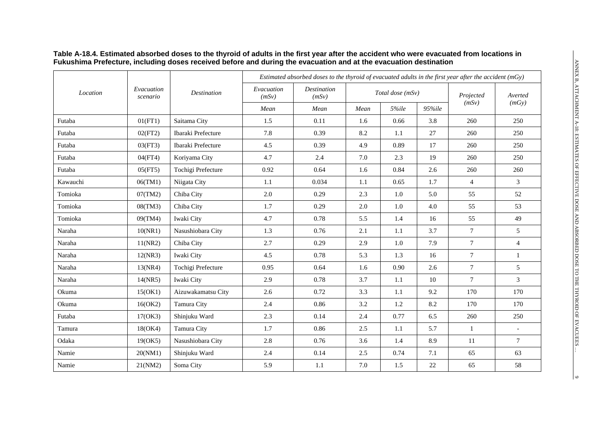|          |                        |                    | Estimated absorbed doses to the thyroid of evacuated adults in the first year after the accident $(mGy)$ |                             |      |                  |        |                |                  |  |
|----------|------------------------|--------------------|----------------------------------------------------------------------------------------------------------|-----------------------------|------|------------------|--------|----------------|------------------|--|
| Location | Evacuation<br>scenario | <b>Destination</b> | Evacuation<br>(mSv)                                                                                      | <b>Destination</b><br>(mSv) |      | Total dose (mSv) |        | Projected      | Averted<br>(mGy) |  |
|          |                        |                    | Mean                                                                                                     | Mean                        | Mean | 5%ile            | 95%ile | (mSv)          |                  |  |
| Futaba   | 01(FT1)                | Saitama City       | 1.5                                                                                                      | 0.11                        | 1.6  | 0.66             | 3.8    | 260            | 250              |  |
| Futaba   | 02(FT2)                | Ibaraki Prefecture | 7.8                                                                                                      | 0.39                        | 8.2  | 1.1              | 27     | 260            | 250              |  |
| Futaba   | 03(FT3)                | Ibaraki Prefecture | 4.5                                                                                                      | 0.39                        | 4.9  | 0.89             | 17     | 260            | 250              |  |
| Futaba   | 04(FT4)                | Koriyama City      | 4.7                                                                                                      | 2.4                         | 7.0  | 2.3              | 19     | 260            | 250              |  |
| Futaba   | 05(FT5)                | Tochigi Prefecture | 0.92                                                                                                     | 0.64                        | 1.6  | 0.84             | 2.6    | 260            | 260              |  |
| Kawauchi | 06(TM1)                | Niigata City       | 1.1                                                                                                      | 0.034                       | 1.1  | 0.65             | 1.7    | $\overline{4}$ | 3                |  |
| Tomioka  | 07(TM2)                | Chiba City         | 2.0                                                                                                      | 0.29                        | 2.3  | 1.0              | 5.0    | 55             | 52               |  |
| Tomioka  | 08(TM3)                | Chiba City         | 1.7                                                                                                      | 0.29                        | 2.0  | 1.0              | 4.0    | 55             | 53               |  |
| Tomioka  | 09(TM4)                | Iwaki City         | 4.7                                                                                                      | 0.78                        | 5.5  | 1.4              | 16     | 55             | 49               |  |
| Naraha   | 10(NR1)                | Nasushiobara City  | 1.3                                                                                                      | 0.76                        | 2.1  | 1.1              | 3.7    | $\tau$         | 5                |  |
| Naraha   | 11(NR2)                | Chiba City         | 2.7                                                                                                      | 0.29                        | 2.9  | 1.0              | 7.9    | $\tau$         | $\overline{4}$   |  |
| Naraha   | 12(NR3)                | Iwaki City         | 4.5                                                                                                      | 0.78                        | 5.3  | 1.3              | 16     | $\overline{7}$ | $\mathbf{1}$     |  |
| Naraha   | 13(NR4)                | Tochigi Prefecture | 0.95                                                                                                     | 0.64                        | 1.6  | 0.90             | 2.6    | $\overline{7}$ | 5                |  |
| Naraha   | 14(NR5)                | Iwaki City         | 2.9                                                                                                      | 0.78                        | 3.7  | 1.1              | 10     | $\tau$         | 3                |  |
| Okuma    | 15(OK1)                | Aizuwakamatsu City | 2.6                                                                                                      | 0.72                        | 3.3  | 1.1              | 9.2    | 170            | 170              |  |
| Okuma    | 16(OK2)                | Tamura City        | 2.4                                                                                                      | 0.86                        | 3.2  | 1.2              | 8.2    | 170            | 170              |  |
| Futaba   | 17(OK3)                | Shinjuku Ward      | 2.3                                                                                                      | 0.14                        | 2.4  | 0.77             | 6.5    | 260            | 250              |  |
| Tamura   | 18(OK4)                | Tamura City        | 1.7                                                                                                      | 0.86                        | 2.5  | 1.1              | 5.7    | -1             | $\overline{a}$   |  |
| Odaka    | 19(OK5)                | Nasushiobara City  | 2.8                                                                                                      | 0.76                        | 3.6  | 1.4              | 8.9    | 11             | $\tau$           |  |
| Namie    | 20(NM1)                | Shinjuku Ward      | 2.4                                                                                                      | 0.14                        | 2.5  | 0.74             | 7.1    | 65             | 63               |  |
| Namie    | 21(NM2)                | Soma City          | 5.9                                                                                                      | 1.1                         | 7.0  | 1.5              | 22     | 65             | 58               |  |

#### **Table A-18.4. Estimated absorbed doses to the thyroid of adults in the first year after the accident who were evacuated from locations in Fukushima Prefecture, including doses received before and during the evacuation and at the evacuation destination**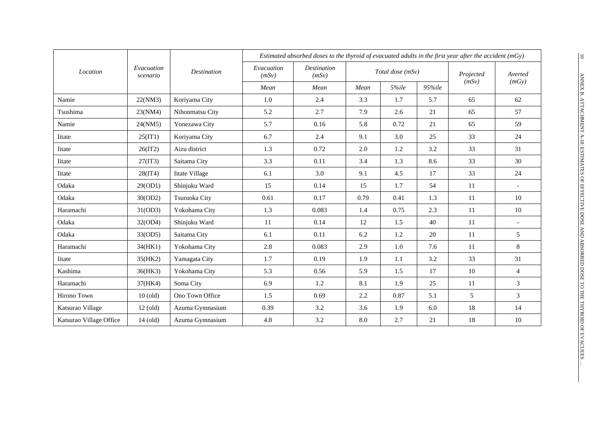|                         |                        |                    | Estimated absorbed doses to the thyroid of evacuated adults in the first year after the accident $(mGy)$ |                             |      |                  |        |           |                |
|-------------------------|------------------------|--------------------|----------------------------------------------------------------------------------------------------------|-----------------------------|------|------------------|--------|-----------|----------------|
| Location                | Evacuation<br>scenario | <b>Destination</b> | Evacuation<br>(mSv)                                                                                      | <b>Destination</b><br>(mSv) |      | Total dose (mSv) |        | Projected | Averted        |
|                         |                        |                    | Mean                                                                                                     | Mean                        | Mean | 5%ile            | 95%ile | (mSv)     | (mGy)          |
| Namie                   | 22(NM3)                | Koriyama City      | 1.0                                                                                                      | 2.4                         | 3.3  | 1.7              | 5.7    | 65        | 62             |
| Tsushima                | 23(NM4)                | Nihonmatsu City    | 5.2                                                                                                      | 2.7                         | 7.9  | 2.6              | 21     | 65        | 57             |
| Namie                   | 24(NM5)                | Yonezawa City      | 5.7                                                                                                      | 0.16                        | 5.8  | 0.72             | 21     | 65        | 59             |
| Iitate                  | 25(IT1)                | Koriyama City      | 6.7                                                                                                      | 2.4                         | 9.1  | 3.0              | 25     | 33        | 24             |
| Iitate                  | 26(1T2)                | Aizu district      | 1.3                                                                                                      | 0.72                        | 2.0  | 1.2              | 3.2    | 33        | 31             |
| Iitate                  | 27(1T3)                | Saitama City       | 3.3                                                                                                      | 0.11                        | 3.4  | 1.3              | 8.6    | 33        | 30             |
| Iitate                  | 28(1T4)                | Iitate Village     | 6.1                                                                                                      | 3.0                         | 9.1  | 4.5              | 17     | 33        | 24             |
| Odaka                   | 29(OD1)                | Shinjuku Ward      | 15                                                                                                       | 0.14                        | 15   | 1.7              | 54     | 11        |                |
| Odaka                   | 30(OD2)                | Tsuruoka City      | 0.61                                                                                                     | 0.17                        | 0.79 | 0.41             | 1.3    | 11        | 10             |
| Haramachi               | 31(OD3)                | Yokohama City      | 1.3                                                                                                      | 0.083                       | 1.4  | 0.75             | 2.3    | 11        | 10             |
| Odaka                   | 32(OD4)                | Shinjuku Ward      | 11                                                                                                       | 0.14                        | 12   | 1.5              | 40     | 11        |                |
| Odaka                   | 33(OD5)                | Saitama City       | 6.1                                                                                                      | 0.11                        | 6.2  | 1.2              | 20     | 11        | 5              |
| Haramachi               | 34(HK1)                | Yokohama City      | 2.8                                                                                                      | 0.083                       | 2.9  | 1.0              | 7.6    | 11        | 8              |
| Iitate                  | 35(HK2)                | Yamagata City      | 1.7                                                                                                      | 0.19                        | 1.9  | 1.1              | 3.2    | 33        | 31             |
| Kashima                 | 36(HK3)                | Yokohama City      | 5.3                                                                                                      | 0.56                        | 5.9  | 1.5              | 17     | 10        | $\overline{4}$ |
| Haramachi               | 37(HK4)                | Soma City          | 6.9                                                                                                      | 1.2                         | 8.1  | 1.9              | 25     | 11        | 3              |
| Hirono Town             | $10$ (old)             | Ono Town Office    | 1.5                                                                                                      | 0.69                        | 2.2  | 0.87             | 5.1    | 5         | $\overline{3}$ |
| Katsurao Village        | $12$ (old)             | Azuma Gymnasium    | 0.39                                                                                                     | 3.2                         | 3.6  | 1.9              | 6.0    | 18        | 14             |
| Katsurao Village Office | 14 (old)               | Azuma Gymnasium    | 4.8                                                                                                      | 3.2                         | 8.0  | 2.7              | 21     | 18        | 10             |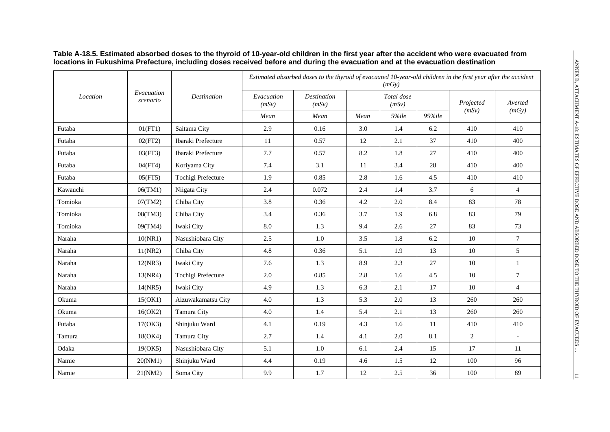|          |                        |                    |                     | Estimated absorbed doses to the thyroid of evacuated 10-year-old children in the first year after the accident |      | (mGv)               |        |                    |                |
|----------|------------------------|--------------------|---------------------|----------------------------------------------------------------------------------------------------------------|------|---------------------|--------|--------------------|----------------|
| Location | Evacuation<br>scenario | <b>Destination</b> | Evacuation<br>(mSv) | <b>Destination</b><br>(mSv)                                                                                    |      | Total dose<br>(mSv) |        | Projected<br>(mSv) | Averted        |
|          |                        |                    | Mean                | Mean                                                                                                           | Mean | $5\%$ ile           | 95%ile |                    | (mGy)          |
| Futaba   | 01(FT1)                | Saitama City       | 2.9                 | 0.16                                                                                                           | 3.0  | 1.4                 | 6.2    | 410                | 410            |
| Futaba   | 02(FT2)                | Ibaraki Prefecture | 11                  | 0.57                                                                                                           | 12   | 2.1                 | 37     | 410                | 400            |
| Futaba   | 03(FT3)                | Ibaraki Prefecture | 7.7                 | 0.57                                                                                                           | 8.2  | 1.8                 | 27     | 410                | 400            |
| Futaba   | 04(FT4)                | Koriyama City      | 7.4                 | 3.1                                                                                                            | 11   | 3.4                 | 28     | 410                | 400            |
| Futaba   | 05(FT5)                | Tochigi Prefecture | 1.9                 | 0.85                                                                                                           | 2.8  | 1.6                 | 4.5    | 410                | 410            |
| Kawauchi | 06(TM1)                | Niigata City       | 2.4                 | 0.072                                                                                                          | 2.4  | 1.4                 | 3.7    | 6                  | $\overline{4}$ |
| Tomioka  | 07(TM2)                | Chiba City         | 3.8                 | 0.36                                                                                                           | 4.2  | 2.0                 | 8.4    | 83                 | 78             |
| Tomioka  | 08(TM3)                | Chiba City         | 3.4                 | 0.36                                                                                                           | 3.7  | 1.9                 | 6.8    | 83                 | 79             |
| Tomioka  | 09(TM4)                | Iwaki City         | 8.0                 | 1.3                                                                                                            | 9.4  | 2.6                 | 27     | 83                 | 73             |
| Naraha   | 10(NR1)                | Nasushiobara City  | 2.5                 | $1.0\,$                                                                                                        | 3.5  | 1.8                 | 6.2    | 10                 | $\tau$         |
| Naraha   | 11(NR2)                | Chiba City         | 4.8                 | 0.36                                                                                                           | 5.1  | 1.9                 | 13     | 10                 | 5              |
| Naraha   | 12(NR3)                | Iwaki City         | 7.6                 | 1.3                                                                                                            | 8.9  | 2.3                 | 27     | 10                 | $\mathbf{1}$   |
| Naraha   | 13(NR4)                | Tochigi Prefecture | 2.0                 | 0.85                                                                                                           | 2.8  | 1.6                 | 4.5    | 10                 | $\overline{7}$ |
| Naraha   | 14(NR5)                | Iwaki City         | 4.9                 | 1.3                                                                                                            | 6.3  | 2.1                 | 17     | 10                 | $\overline{4}$ |
| Okuma    | 15(OK1)                | Aizuwakamatsu City | 4.0                 | 1.3                                                                                                            | 5.3  | 2.0                 | 13     | 260                | 260            |
| Okuma    | 16(OK2)                | Tamura City        | 4.0                 | 1.4                                                                                                            | 5.4  | 2.1                 | 13     | 260                | 260            |
| Futaba   | 17(OK3)                | Shinjuku Ward      | 4.1                 | 0.19                                                                                                           | 4.3  | 1.6                 | 11     | 410                | 410            |
| Tamura   | 18(OK4)                | Tamura City        | 2.7                 | 1.4                                                                                                            | 4.1  | 2.0                 | 8.1    | 2                  | $\blacksquare$ |
| Odaka    | 19(OK5)                | Nasushiobara City  | 5.1                 | 1.0                                                                                                            | 6.1  | 2.4                 | 15     | 17                 | 11             |
| Namie    | 20(NM1)                | Shinjuku Ward      | 4.4                 | 0.19                                                                                                           | 4.6  | 1.5                 | 12     | 100                | 96             |
| Namie    | 21(NM2)                | Soma City          | 9.9                 | 1.7                                                                                                            | 12   | 2.5                 | 36     | 100                | 89             |

#### **Table A-18.5. Estimated absorbed doses to the thyroid of 10-year-old children in the first year after the accident who were evacuated from locations in Fukushima Prefecture, including doses received before and during the evacuation and at the evacuation destination**

 $\vert \Xi \vert$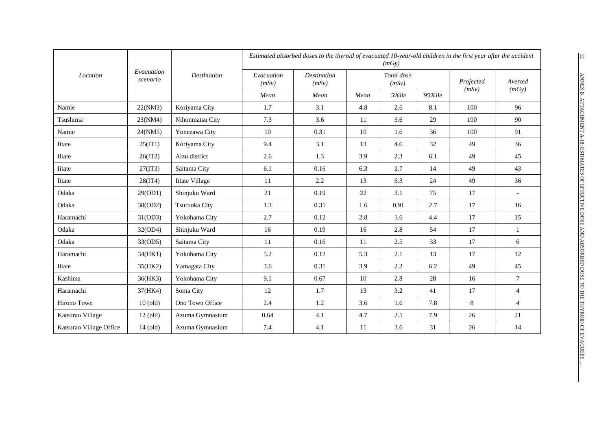|                         | Evacuation |                       | Estimated absorbed doses to the thyroid of evacuated 10-year-old children in the first year after the accident<br>(mGv) |                      |      |                     |        |           |                |  |
|-------------------------|------------|-----------------------|-------------------------------------------------------------------------------------------------------------------------|----------------------|------|---------------------|--------|-----------|----------------|--|
| Location                | scenario   | <b>Destination</b>    | Evacuation<br>(mSv)                                                                                                     | Destination<br>(mSv) |      | Total dose<br>(mSv) |        | Projected | Averted        |  |
|                         |            |                       | Mean                                                                                                                    | Mean                 | Mean | 5%ile               | 95%ile | (mSv)     | (mGy)          |  |
| Namie                   | 22(NM3)    | Koriyama City         | 1.7                                                                                                                     | 3.1                  | 4.8  | 2.6                 | 8.1    | 100       | 96             |  |
| Tsushima                | 23(NM4)    | Nihonmatsu City       | 7.3                                                                                                                     | 3.6                  | 11   | 3.6                 | 29     | 100       | 90             |  |
| Namie                   | 24(NM5)    | Yonezawa City         | 10                                                                                                                      | 0.31                 | 10   | 1.6                 | 36     | 100       | 91             |  |
| <b>I</b> itate          | 25(IT1)    | Koriyama City         | 9.4                                                                                                                     | 3.1                  | 13   | 4.6                 | 32     | 49        | 36             |  |
| <b>I</b> itate          | 26(IT2)    | Aizu district         | 2.6                                                                                                                     | 1.3                  | 3.9  | 2.3                 | 6.1    | 49        | 45             |  |
| Iitate                  | 27(1T3)    | Saitama City          | 6.1                                                                                                                     | 0.16                 | 6.3  | 2.7                 | 14     | 49        | 43             |  |
| Iitate                  | 28(1T4)    | <b>Iitate Village</b> | 11                                                                                                                      | 2.2                  | 13   | 6.3                 | 24     | 49        | 36             |  |
| Odaka                   | 29(OD1)    | Shinjuku Ward         | 21                                                                                                                      | 0.19                 | 22   | 3.1                 | 75     | 17        |                |  |
| Odaka                   | 30(OD2)    | Tsuruoka City         | 1.3                                                                                                                     | 0.31                 | 1.6  | 0.91                | 2.7    | 17        | 16             |  |
| Haramachi               | 31(OD3)    | Yokohama City         | 2.7                                                                                                                     | 0.12                 | 2.8  | 1.6                 | 4.4    | 17        | 15             |  |
| Odaka                   | 32(OD4)    | Shinjuku Ward         | 16                                                                                                                      | 0.19                 | 16   | 2.8                 | 54     | 17        | $\mathbf{1}$   |  |
| Odaka                   | 33(OD5)    | Saitama City          | 11                                                                                                                      | 0.16                 | 11   | 2.5                 | 33     | 17        | 6              |  |
| Haramachi               | 34(HK1)    | Yokohama City         | 5.2                                                                                                                     | 0.12                 | 5.3  | 2.1                 | 13     | 17        | 12             |  |
| Iitate                  | 35(HK2)    | Yamagata City         | 3.6                                                                                                                     | 0.31                 | 3.9  | 2.2                 | 6.2    | 49        | 45             |  |
| Kashima                 | 36(HK3)    | Yokohama City         | 9.1                                                                                                                     | 0.67                 | 10   | 2.8                 | 28     | 16        | $\tau$         |  |
| Haramachi               | 37(HK4)    | Soma City             | 12                                                                                                                      | 1.7                  | 13   | 3.2                 | 41     | 17        | $\overline{4}$ |  |
| Hirono Town             | $10$ (old) | Ono Town Office       | 2.4                                                                                                                     | $1.2\,$              | 3.6  | 1.6                 | 7.8    | 8         | $\overline{4}$ |  |
| Katsurao Village        | $12$ (old) | Azuma Gymnasium       | 0.64                                                                                                                    | 4.1                  | 4.7  | 2.5                 | 7.9    | 26        | 21             |  |
| Katsurao Village Office | $14$ (old) | Azuma Gymnasium       | 7.4                                                                                                                     | 4.1                  | 11   | 3.6                 | 31     | $26\,$    | 14             |  |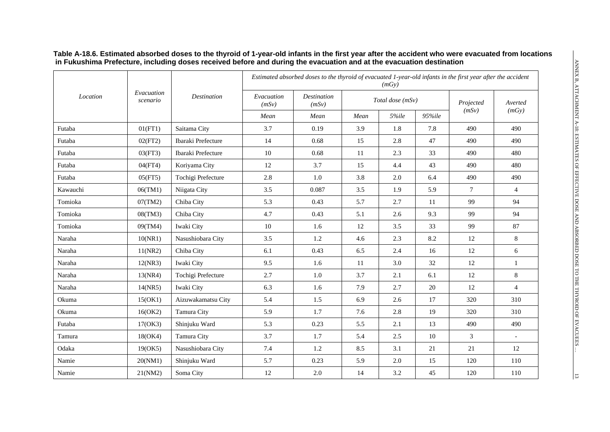|          | Evacuation |                    | Estimated absorbed doses to the thyroid of evacuated 1-year-old infants in the first year after the accident<br>(mGy) |                             |      |                  |        |                    |                  |  |
|----------|------------|--------------------|-----------------------------------------------------------------------------------------------------------------------|-----------------------------|------|------------------|--------|--------------------|------------------|--|
| Location | scenario   | <b>Destination</b> | Evacuation<br>(mSv)                                                                                                   | <b>Destination</b><br>(mSv) |      | Total dose (mSv) |        | Projected<br>(mSv) | Averted<br>(mGy) |  |
|          |            |                    | Mean                                                                                                                  | Mean                        | Mean | 5%ile            | 95%ile |                    |                  |  |
| Futaba   | 01(FT1)    | Saitama City       | 3.7                                                                                                                   | 0.19                        | 3.9  | 1.8              | 7.8    | 490                | 490              |  |
| Futaba   | 02(FT2)    | Ibaraki Prefecture | 14                                                                                                                    | 0.68                        | 15   | 2.8              | 47     | 490                | 490              |  |
| Futaba   | 03(FT3)    | Ibaraki Prefecture | 10                                                                                                                    | 0.68                        | 11   | 2.3              | 33     | 490                | 480              |  |
| Futaba   | 04(FT4)    | Koriyama City      | 12                                                                                                                    | 3.7                         | 15   | 4.4              | 43     | 490                | 480              |  |
| Futaba   | 05(FT5)    | Tochigi Prefecture | 2.8                                                                                                                   | $1.0\,$                     | 3.8  | 2.0              | 6.4    | 490                | 490              |  |
| Kawauchi | 06(TM1)    | Niigata City       | 3.5                                                                                                                   | 0.087                       | 3.5  | 1.9              | 5.9    | $\tau$             | $\overline{4}$   |  |
| Tomioka  | 07(TM2)    | Chiba City         | 5.3                                                                                                                   | 0.43                        | 5.7  | 2.7              | 11     | 99                 | 94               |  |
| Tomioka  | 08(TM3)    | Chiba City         | 4.7                                                                                                                   | 0.43                        | 5.1  | 2.6              | 9.3    | 99                 | 94               |  |
| Tomioka  | 09(TM4)    | Iwaki City         | 10                                                                                                                    | 1.6                         | 12   | 3.5              | 33     | 99                 | 87               |  |
| Naraha   | 10(NR1)    | Nasushiobara City  | 3.5                                                                                                                   | 1.2                         | 4.6  | 2.3              | 8.2    | $12\,$             | $8\,$            |  |
| Naraha   | 11(NR2)    | Chiba City         | 6.1                                                                                                                   | 0.43                        | 6.5  | 2.4              | 16     | 12                 | 6                |  |
| Naraha   | 12(NR3)    | Iwaki City         | 9.5                                                                                                                   | 1.6                         | 11   | 3.0              | 32     | 12                 | $\mathbf{1}$     |  |
| Naraha   | 13(NR4)    | Tochigi Prefecture | 2.7                                                                                                                   | $1.0\,$                     | 3.7  | 2.1              | 6.1    | 12                 | $8\,$            |  |
| Naraha   | 14(NR5)    | Iwaki City         | 6.3                                                                                                                   | 1.6                         | 7.9  | 2.7              | 20     | 12                 | $\overline{4}$   |  |
| Okuma    | 15(OK1)    | Aizuwakamatsu City | 5.4                                                                                                                   | 1.5                         | 6.9  | 2.6              | 17     | 320                | 310              |  |
| Okuma    | 16(OK2)    | Tamura City        | 5.9                                                                                                                   | 1.7                         | 7.6  | 2.8              | 19     | 320                | 310              |  |
| Futaba   | 17(OK3)    | Shinjuku Ward      | 5.3                                                                                                                   | 0.23                        | 5.5  | 2.1              | 13     | 490                | 490              |  |
| Tamura   | 18(OK4)    | Tamura City        | 3.7                                                                                                                   | 1.7                         | 5.4  | 2.5              | 10     | 3                  | $\overline{a}$   |  |
| Odaka    | 19(OK5)    | Nasushiobara City  | 7.4                                                                                                                   | 1.2                         | 8.5  | 3.1              | 21     | 21                 | 12               |  |
| Namie    | 20(NM1)    | Shinjuku Ward      | 5.7                                                                                                                   | 0.23                        | 5.9  | 2.0              | 15     | 120                | 110              |  |
| Namie    | 21(NM2)    | Soma City          | 12                                                                                                                    | 2.0                         | 14   | 3.2              | 45     | 120                | 110              |  |

#### **Table A-18.6. Estimated absorbed doses to the thyroid of 1-year-old infants in the first year after the accident who were evacuated from locations in Fukushima Prefecture, including doses received before and during the evacuation and at the evacuation destination**